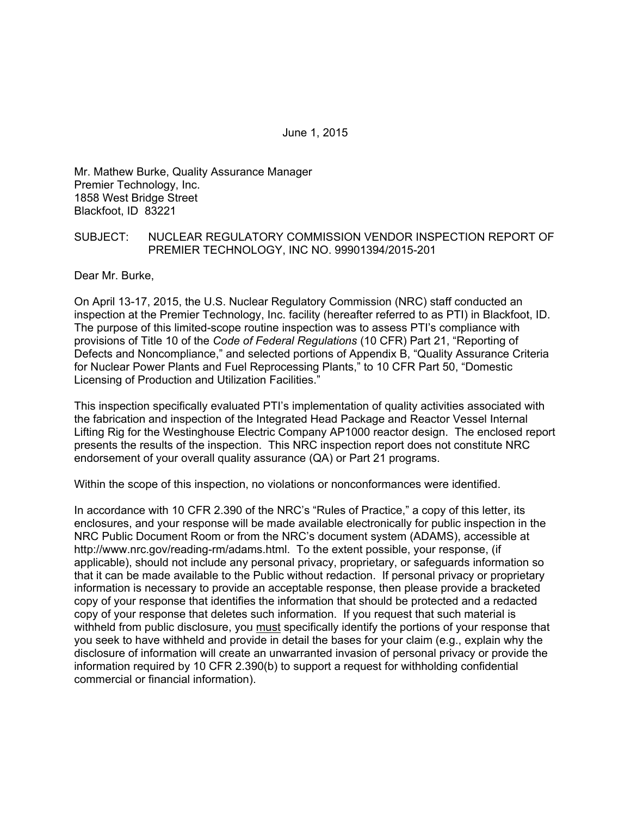June 1, 2015

Mr. Mathew Burke, Quality Assurance Manager Premier Technology, Inc. 1858 West Bridge Street Blackfoot, ID 83221

### SUBJECT: NUCLEAR REGULATORY COMMISSION VENDOR INSPECTION REPORT OF PREMIER TECHNOLOGY, INC NO. 99901394/2015-201

Dear Mr. Burke,

On April 13-17, 2015, the U.S. Nuclear Regulatory Commission (NRC) staff conducted an inspection at the Premier Technology, Inc. facility (hereafter referred to as PTI) in Blackfoot, ID. The purpose of this limited-scope routine inspection was to assess PTI's compliance with provisions of Title 10 of the *Code of Federal Regulations* (10 CFR) Part 21, "Reporting of Defects and Noncompliance," and selected portions of Appendix B, "Quality Assurance Criteria for Nuclear Power Plants and Fuel Reprocessing Plants," to 10 CFR Part 50, "Domestic Licensing of Production and Utilization Facilities."

This inspection specifically evaluated PTI's implementation of quality activities associated with the fabrication and inspection of the Integrated Head Package and Reactor Vessel Internal Lifting Rig for the Westinghouse Electric Company AP1000 reactor design. The enclosed report presents the results of the inspection. This NRC inspection report does not constitute NRC endorsement of your overall quality assurance (QA) or Part 21 programs.

Within the scope of this inspection, no violations or nonconformances were identified.

In accordance with 10 CFR 2.390 of the NRC's "Rules of Practice," a copy of this letter, its enclosures, and your response will be made available electronically for public inspection in the NRC Public Document Room or from the NRC's document system (ADAMS), accessible at http://www.nrc.gov/reading-rm/adams.html. To the extent possible, your response, (if applicable), should not include any personal privacy, proprietary, or safeguards information so that it can be made available to the Public without redaction. If personal privacy or proprietary information is necessary to provide an acceptable response, then please provide a bracketed copy of your response that identifies the information that should be protected and a redacted copy of your response that deletes such information. If you request that such material is withheld from public disclosure, you must specifically identify the portions of your response that you seek to have withheld and provide in detail the bases for your claim (e.g., explain why the disclosure of information will create an unwarranted invasion of personal privacy or provide the information required by 10 CFR 2.390(b) to support a request for withholding confidential commercial or financial information).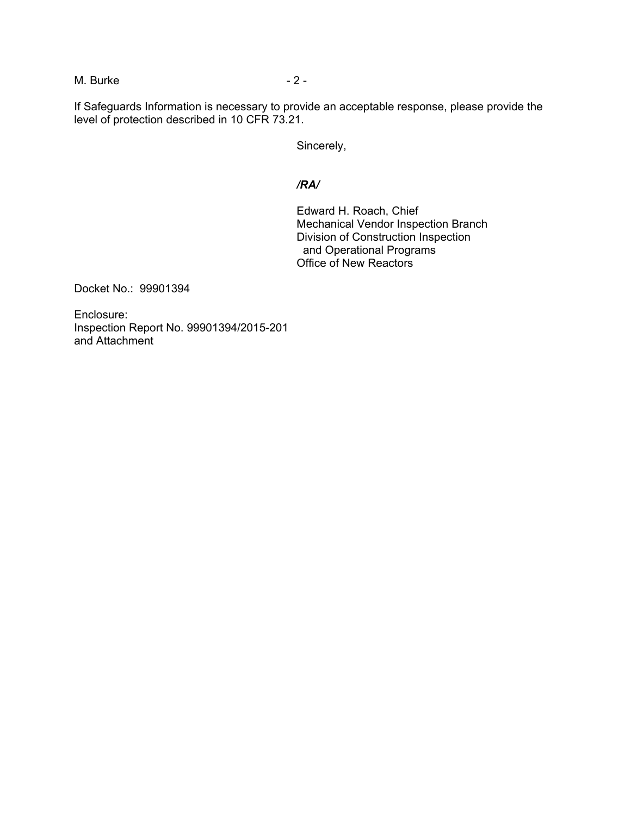M. Burke  $-2 -$ 

If Safeguards Information is necessary to provide an acceptable response, please provide the level of protection described in 10 CFR 73.21.

Sincerely,

## */RA/*

Edward H. Roach, Chief Mechanical Vendor Inspection Branch Division of Construction Inspection and Operational Programs Office of New Reactors

Docket No.: 99901394

Enclosure: Inspection Report No. 99901394/2015-201 and Attachment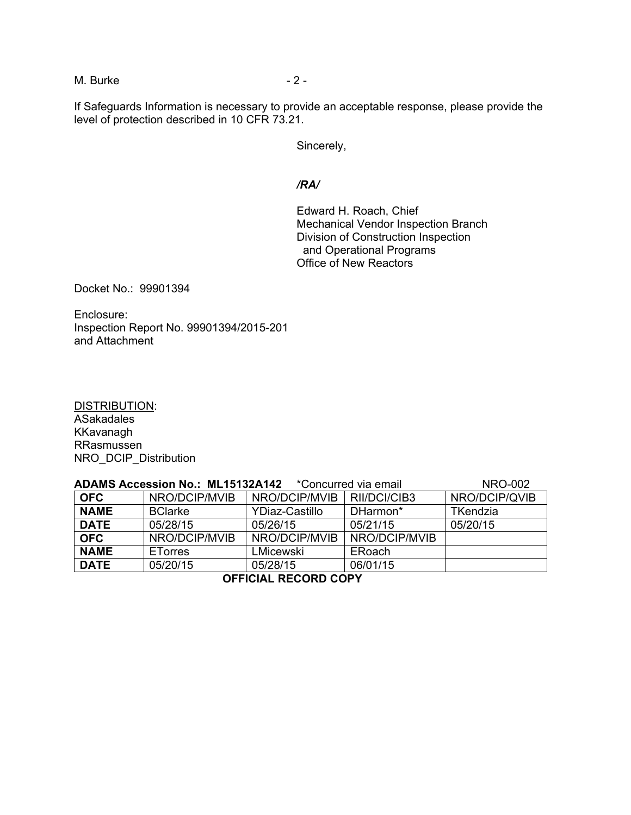M. Burke  $-2 -$ 

If Safeguards Information is necessary to provide an acceptable response, please provide the level of protection described in 10 CFR 73.21.

Sincerely,

#### */RA/*

Edward H. Roach, Chief Mechanical Vendor Inspection Branch Division of Construction Inspection and Operational Programs Office of New Reactors

Docket No.: 99901394

Enclosure: Inspection Report No. 99901394/2015-201 and Attachment

DISTRIBUTION: ASakadales KKavanagh RRasmussen NRO\_DCIP\_Distribution

| ADAMS Accession No.: ML15132A142 *Concurred via email | <b>NRO-002</b> |                       |               |                 |  |
|-------------------------------------------------------|----------------|-----------------------|---------------|-----------------|--|
| <b>OFC</b>                                            | NRO/DCIP/MVIB  | NRO/DCIP/MVIB         | RII/DCI/CIB3  | NRO/DCIP/QVIB   |  |
| <b>NAME</b>                                           | <b>BClarke</b> | <b>YDiaz-Castillo</b> | DHarmon*      | <b>TKendzia</b> |  |
| <b>DATE</b>                                           | 05/28/15       | 05/26/15              | 05/21/15      | 05/20/15        |  |
| <b>OFC</b>                                            | NRO/DCIP/MVIB  | NRO/DCIP/MVIB         | NRO/DCIP/MVIB |                 |  |
| <b>NAME</b>                                           | <b>ETorres</b> | LMicewski             | ERoach        |                 |  |
| <b>DATE</b>                                           | 05/20/15       | 05/28/15              | 06/01/15      |                 |  |
| AFFIAILL BEAARD AABV                                  |                |                       |               |                 |  |

**OFFICIAL RECORD COPY**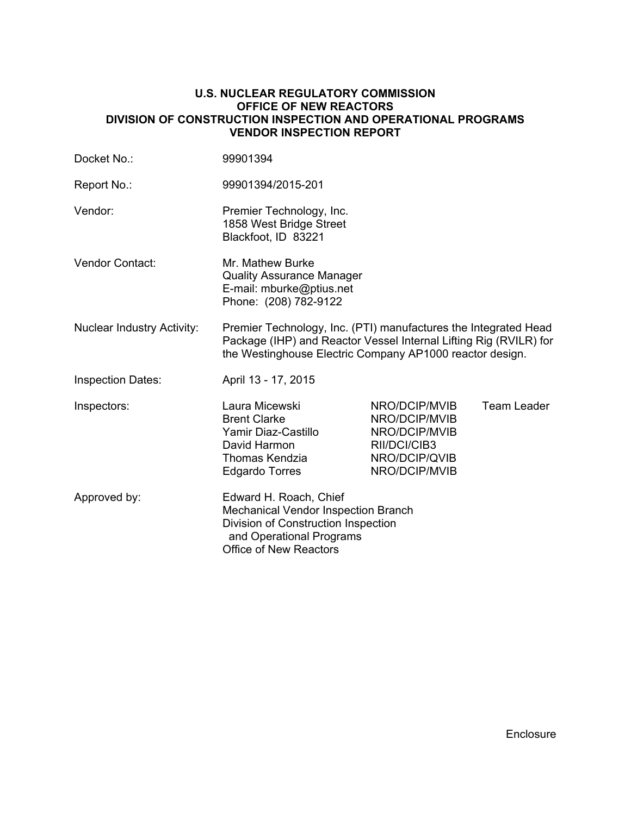#### **U.S. NUCLEAR REGULATORY COMMISSION OFFICE OF NEW REACTORS DIVISION OF CONSTRUCTION INSPECTION AND OPERATIONAL PROGRAMS VENDOR INSPECTION REPORT**

| Docket No.:                       | 99901394                                                                                                                                                                                         |                                                                                                   |                    |  |
|-----------------------------------|--------------------------------------------------------------------------------------------------------------------------------------------------------------------------------------------------|---------------------------------------------------------------------------------------------------|--------------------|--|
| Report No.:                       | 99901394/2015-201                                                                                                                                                                                |                                                                                                   |                    |  |
| Vendor:                           | Premier Technology, Inc.<br>1858 West Bridge Street<br>Blackfoot, ID 83221                                                                                                                       |                                                                                                   |                    |  |
| <b>Vendor Contact:</b>            | Mr. Mathew Burke<br><b>Quality Assurance Manager</b><br>E-mail: mburke@ptius.net<br>Phone: (208) 782-9122                                                                                        |                                                                                                   |                    |  |
| <b>Nuclear Industry Activity:</b> | Premier Technology, Inc. (PTI) manufactures the Integrated Head<br>Package (IHP) and Reactor Vessel Internal Lifting Rig (RVILR) for<br>the Westinghouse Electric Company AP1000 reactor design. |                                                                                                   |                    |  |
| <b>Inspection Dates:</b>          | April 13 - 17, 2015                                                                                                                                                                              |                                                                                                   |                    |  |
| Inspectors:                       | Laura Micewski<br><b>Brent Clarke</b><br>Yamir Diaz-Castillo<br>David Harmon<br><b>Thomas Kendzia</b><br><b>Edgardo Torres</b>                                                                   | NRO/DCIP/MVIB<br>NRO/DCIP/MVIB<br>NRO/DCIP/MVIB<br>RII/DCI/CIB3<br>NRO/DCIP/QVIB<br>NRO/DCIP/MVIB | <b>Team Leader</b> |  |
| Approved by:                      | Edward H. Roach, Chief<br><b>Mechanical Vendor Inspection Branch</b><br>Division of Construction Inspection<br>and Operational Programs<br><b>Office of New Reactors</b>                         |                                                                                                   |                    |  |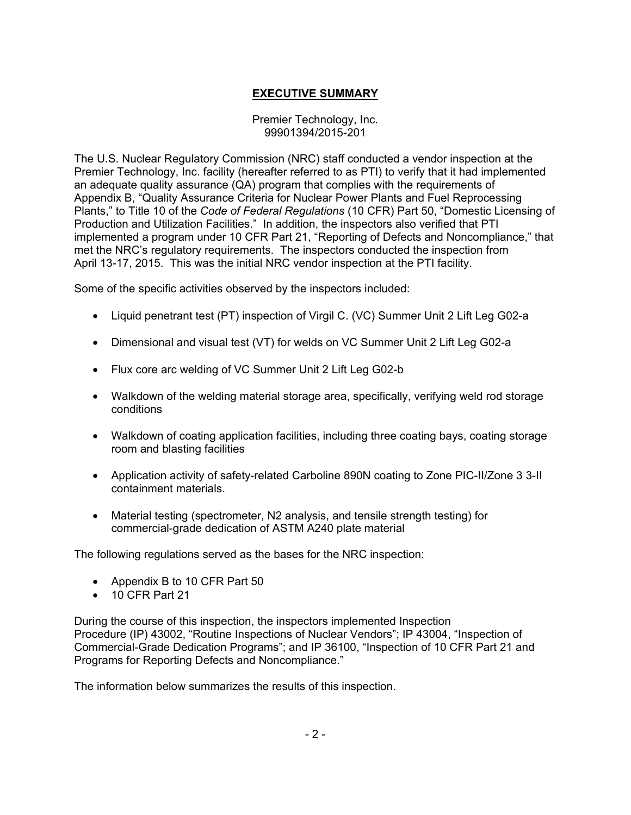# **EXECUTIVE SUMMARY**

### Premier Technology, Inc. 99901394/2015-201

The U.S. Nuclear Regulatory Commission (NRC) staff conducted a vendor inspection at the Premier Technology, Inc. facility (hereafter referred to as PTI) to verify that it had implemented an adequate quality assurance (QA) program that complies with the requirements of Appendix B, "Quality Assurance Criteria for Nuclear Power Plants and Fuel Reprocessing Plants," to Title 10 of the *Code of Federal Regulations* (10 CFR) Part 50, "Domestic Licensing of Production and Utilization Facilities." In addition, the inspectors also verified that PTI implemented a program under 10 CFR Part 21, "Reporting of Defects and Noncompliance," that met the NRC's regulatory requirements. The inspectors conducted the inspection from April 13-17, 2015. This was the initial NRC vendor inspection at the PTI facility.

Some of the specific activities observed by the inspectors included:

- Liquid penetrant test (PT) inspection of Virgil C. (VC) Summer Unit 2 Lift Leg G02-a
- Dimensional and visual test (VT) for welds on VC Summer Unit 2 Lift Leg G02-a
- Flux core arc welding of VC Summer Unit 2 Lift Leg G02-b
- Walkdown of the welding material storage area, specifically, verifying weld rod storage conditions
- Walkdown of coating application facilities, including three coating bays, coating storage room and blasting facilities
- Application activity of safety-related Carboline 890N coating to Zone PIC-II/Zone 3 3-II containment materials.
- Material testing (spectrometer, N2 analysis, and tensile strength testing) for commercial-grade dedication of ASTM A240 plate material

The following regulations served as the bases for the NRC inspection:

- Appendix B to 10 CFR Part 50
- 10 CFR Part 21

During the course of this inspection, the inspectors implemented Inspection Procedure (IP) 43002, "Routine Inspections of Nuclear Vendors"; IP 43004, "Inspection of Commercial-Grade Dedication Programs"; and IP 36100, "Inspection of 10 CFR Part 21 and Programs for Reporting Defects and Noncompliance."

The information below summarizes the results of this inspection.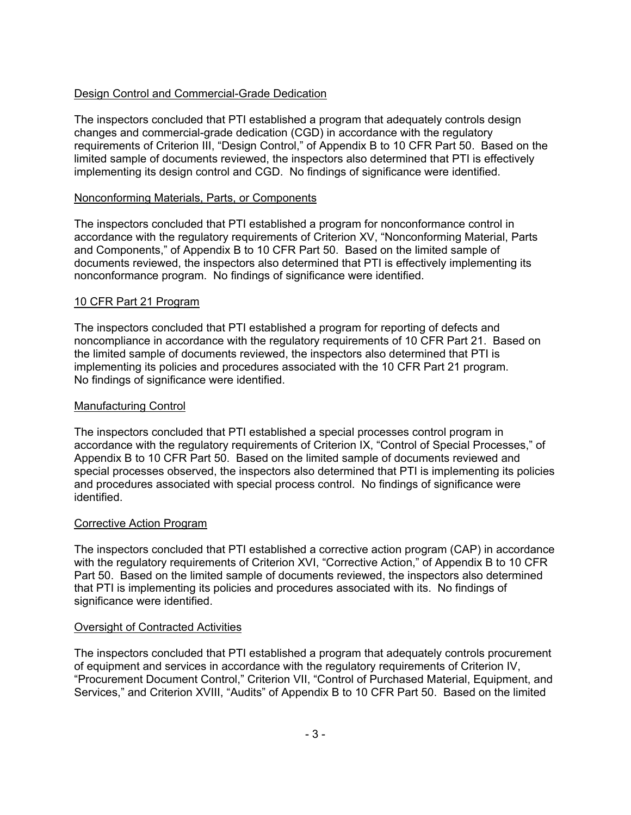# Design Control and Commercial-Grade Dedication

The inspectors concluded that PTI established a program that adequately controls design changes and commercial-grade dedication (CGD) in accordance with the regulatory requirements of Criterion III, "Design Control," of Appendix B to 10 CFR Part 50. Based on the limited sample of documents reviewed, the inspectors also determined that PTI is effectively implementing its design control and CGD. No findings of significance were identified.

## Nonconforming Materials, Parts, or Components

The inspectors concluded that PTI established a program for nonconformance control in accordance with the regulatory requirements of Criterion XV, "Nonconforming Material, Parts and Components," of Appendix B to 10 CFR Part 50. Based on the limited sample of documents reviewed, the inspectors also determined that PTI is effectively implementing its nonconformance program. No findings of significance were identified.

# 10 CFR Part 21 Program

The inspectors concluded that PTI established a program for reporting of defects and noncompliance in accordance with the regulatory requirements of 10 CFR Part 21. Based on the limited sample of documents reviewed, the inspectors also determined that PTI is implementing its policies and procedures associated with the 10 CFR Part 21 program. No findings of significance were identified.

### Manufacturing Control

The inspectors concluded that PTI established a special processes control program in accordance with the regulatory requirements of Criterion IX, "Control of Special Processes," of Appendix B to 10 CFR Part 50. Based on the limited sample of documents reviewed and special processes observed, the inspectors also determined that PTI is implementing its policies and procedures associated with special process control. No findings of significance were identified.

#### Corrective Action Program

The inspectors concluded that PTI established a corrective action program (CAP) in accordance with the regulatory requirements of Criterion XVI, "Corrective Action," of Appendix B to 10 CFR Part 50. Based on the limited sample of documents reviewed, the inspectors also determined that PTI is implementing its policies and procedures associated with its. No findings of significance were identified.

# Oversight of Contracted Activities

The inspectors concluded that PTI established a program that adequately controls procurement of equipment and services in accordance with the regulatory requirements of Criterion IV, "Procurement Document Control," Criterion VII, "Control of Purchased Material, Equipment, and Services," and Criterion XVIII, "Audits" of Appendix B to 10 CFR Part 50. Based on the limited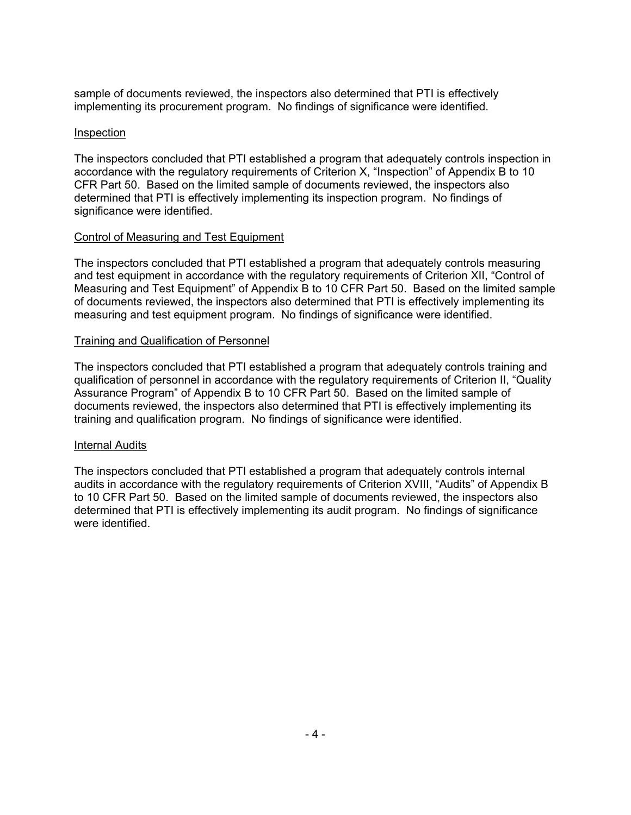sample of documents reviewed, the inspectors also determined that PTI is effectively implementing its procurement program. No findings of significance were identified.

## Inspection

The inspectors concluded that PTI established a program that adequately controls inspection in accordance with the regulatory requirements of Criterion X, "Inspection" of Appendix B to 10 CFR Part 50. Based on the limited sample of documents reviewed, the inspectors also determined that PTI is effectively implementing its inspection program. No findings of significance were identified.

# Control of Measuring and Test Equipment

The inspectors concluded that PTI established a program that adequately controls measuring and test equipment in accordance with the regulatory requirements of Criterion XII, "Control of Measuring and Test Equipment" of Appendix B to 10 CFR Part 50. Based on the limited sample of documents reviewed, the inspectors also determined that PTI is effectively implementing its measuring and test equipment program. No findings of significance were identified.

### Training and Qualification of Personnel

The inspectors concluded that PTI established a program that adequately controls training and qualification of personnel in accordance with the regulatory requirements of Criterion II, "Quality Assurance Program" of Appendix B to 10 CFR Part 50. Based on the limited sample of documents reviewed, the inspectors also determined that PTI is effectively implementing its training and qualification program. No findings of significance were identified.

# Internal Audits

The inspectors concluded that PTI established a program that adequately controls internal audits in accordance with the regulatory requirements of Criterion XVIII, "Audits" of Appendix B to 10 CFR Part 50. Based on the limited sample of documents reviewed, the inspectors also determined that PTI is effectively implementing its audit program. No findings of significance were identified.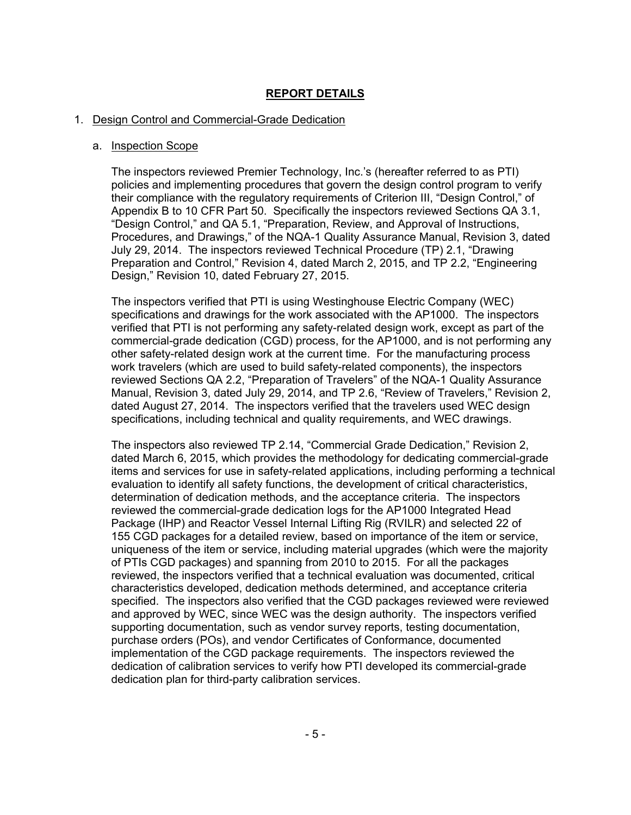# **REPORT DETAILS**

### 1. Design Control and Commercial-Grade Dedication

#### a. Inspection Scope

The inspectors reviewed Premier Technology, Inc.'s (hereafter referred to as PTI) policies and implementing procedures that govern the design control program to verify their compliance with the regulatory requirements of Criterion III, "Design Control," of Appendix B to 10 CFR Part 50. Specifically the inspectors reviewed Sections QA 3.1, "Design Control," and QA 5.1, "Preparation, Review, and Approval of Instructions, Procedures, and Drawings," of the NQA-1 Quality Assurance Manual, Revision 3, dated July 29, 2014. The inspectors reviewed Technical Procedure (TP) 2.1, "Drawing Preparation and Control," Revision 4, dated March 2, 2015, and TP 2.2, "Engineering Design," Revision 10, dated February 27, 2015.

The inspectors verified that PTI is using Westinghouse Electric Company (WEC) specifications and drawings for the work associated with the AP1000. The inspectors verified that PTI is not performing any safety-related design work, except as part of the commercial-grade dedication (CGD) process, for the AP1000, and is not performing any other safety-related design work at the current time. For the manufacturing process work travelers (which are used to build safety-related components), the inspectors reviewed Sections QA 2.2, "Preparation of Travelers" of the NQA-1 Quality Assurance Manual, Revision 3, dated July 29, 2014, and TP 2.6, "Review of Travelers," Revision 2, dated August 27, 2014. The inspectors verified that the travelers used WEC design specifications, including technical and quality requirements, and WEC drawings.

The inspectors also reviewed TP 2.14, "Commercial Grade Dedication," Revision 2, dated March 6, 2015, which provides the methodology for dedicating commercial-grade items and services for use in safety-related applications, including performing a technical evaluation to identify all safety functions, the development of critical characteristics, determination of dedication methods, and the acceptance criteria. The inspectors reviewed the commercial-grade dedication logs for the AP1000 Integrated Head Package (IHP) and Reactor Vessel Internal Lifting Rig (RVILR) and selected 22 of 155 CGD packages for a detailed review, based on importance of the item or service, uniqueness of the item or service, including material upgrades (which were the majority of PTIs CGD packages) and spanning from 2010 to 2015. For all the packages reviewed, the inspectors verified that a technical evaluation was documented, critical characteristics developed, dedication methods determined, and acceptance criteria specified. The inspectors also verified that the CGD packages reviewed were reviewed and approved by WEC, since WEC was the design authority. The inspectors verified supporting documentation, such as vendor survey reports, testing documentation, purchase orders (POs), and vendor Certificates of Conformance, documented implementation of the CGD package requirements. The inspectors reviewed the dedication of calibration services to verify how PTI developed its commercial-grade dedication plan for third-party calibration services.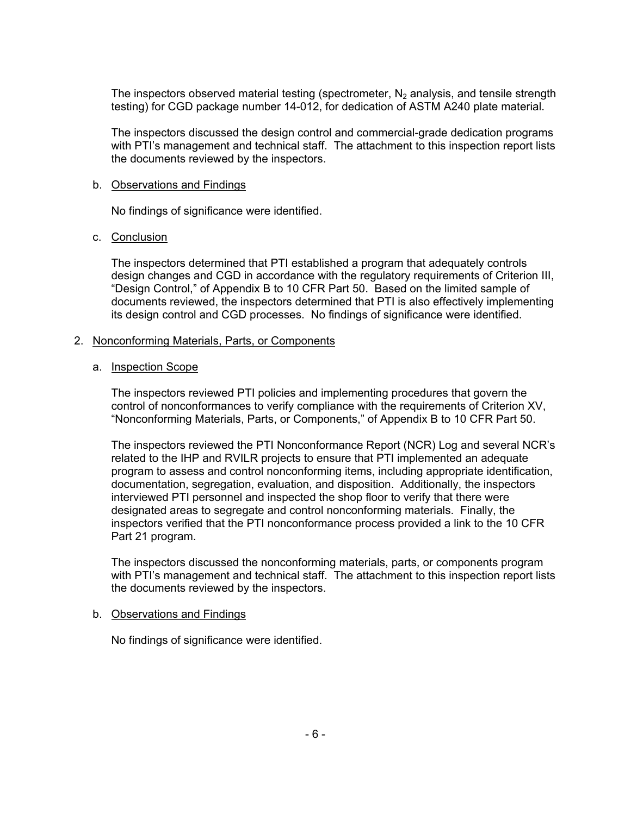The inspectors observed material testing (spectrometer,  $N_2$  analysis, and tensile strength testing) for CGD package number 14-012, for dedication of ASTM A240 plate material.

The inspectors discussed the design control and commercial-grade dedication programs with PTI's management and technical staff. The attachment to this inspection report lists the documents reviewed by the inspectors.

### b. Observations and Findings

No findings of significance were identified.

# c. Conclusion

The inspectors determined that PTI established a program that adequately controls design changes and CGD in accordance with the regulatory requirements of Criterion III, "Design Control," of Appendix B to 10 CFR Part 50. Based on the limited sample of documents reviewed, the inspectors determined that PTI is also effectively implementing its design control and CGD processes. No findings of significance were identified.

### 2. Nonconforming Materials, Parts, or Components

### a. Inspection Scope

The inspectors reviewed PTI policies and implementing procedures that govern the control of nonconformances to verify compliance with the requirements of Criterion XV, "Nonconforming Materials, Parts, or Components," of Appendix B to 10 CFR Part 50.

The inspectors reviewed the PTI Nonconformance Report (NCR) Log and several NCR's related to the IHP and RVILR projects to ensure that PTI implemented an adequate program to assess and control nonconforming items, including appropriate identification, documentation, segregation, evaluation, and disposition. Additionally, the inspectors interviewed PTI personnel and inspected the shop floor to verify that there were designated areas to segregate and control nonconforming materials. Finally, the inspectors verified that the PTI nonconformance process provided a link to the 10 CFR Part 21 program.

The inspectors discussed the nonconforming materials, parts, or components program with PTI's management and technical staff. The attachment to this inspection report lists the documents reviewed by the inspectors.

#### b. Observations and Findings

No findings of significance were identified.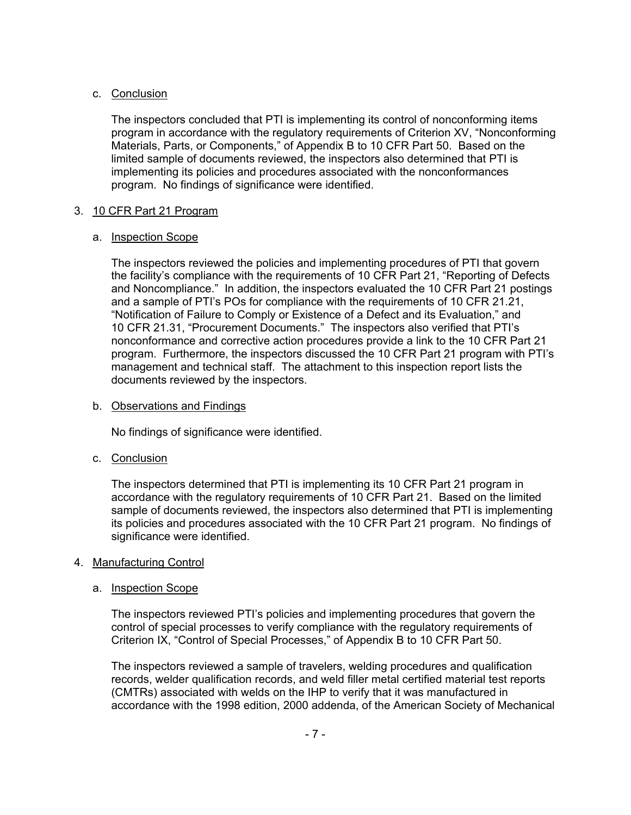# c. Conclusion

The inspectors concluded that PTI is implementing its control of nonconforming items program in accordance with the regulatory requirements of Criterion XV, "Nonconforming Materials, Parts, or Components," of Appendix B to 10 CFR Part 50. Based on the limited sample of documents reviewed, the inspectors also determined that PTI is implementing its policies and procedures associated with the nonconformances program. No findings of significance were identified.

# 3. 10 CFR Part 21 Program

# a. Inspection Scope

The inspectors reviewed the policies and implementing procedures of PTI that govern the facility's compliance with the requirements of 10 CFR Part 21, "Reporting of Defects and Noncompliance." In addition, the inspectors evaluated the 10 CFR Part 21 postings and a sample of PTI's POs for compliance with the requirements of 10 CFR 21.21, "Notification of Failure to Comply or Existence of a Defect and its Evaluation," and 10 CFR 21.31, "Procurement Documents." The inspectors also verified that PTI's nonconformance and corrective action procedures provide a link to the 10 CFR Part 21 program. Furthermore, the inspectors discussed the 10 CFR Part 21 program with PTI's management and technical staff. The attachment to this inspection report lists the documents reviewed by the inspectors.

## b. Observations and Findings

No findings of significance were identified.

# c. Conclusion

The inspectors determined that PTI is implementing its 10 CFR Part 21 program in accordance with the regulatory requirements of 10 CFR Part 21. Based on the limited sample of documents reviewed, the inspectors also determined that PTI is implementing its policies and procedures associated with the 10 CFR Part 21 program. No findings of significance were identified.

# 4. Manufacturing Control

# a. Inspection Scope

The inspectors reviewed PTI's policies and implementing procedures that govern the control of special processes to verify compliance with the regulatory requirements of Criterion IX, "Control of Special Processes," of Appendix B to 10 CFR Part 50.

The inspectors reviewed a sample of travelers, welding procedures and qualification records, welder qualification records, and weld filler metal certified material test reports (CMTRs) associated with welds on the IHP to verify that it was manufactured in accordance with the 1998 edition, 2000 addenda, of the American Society of Mechanical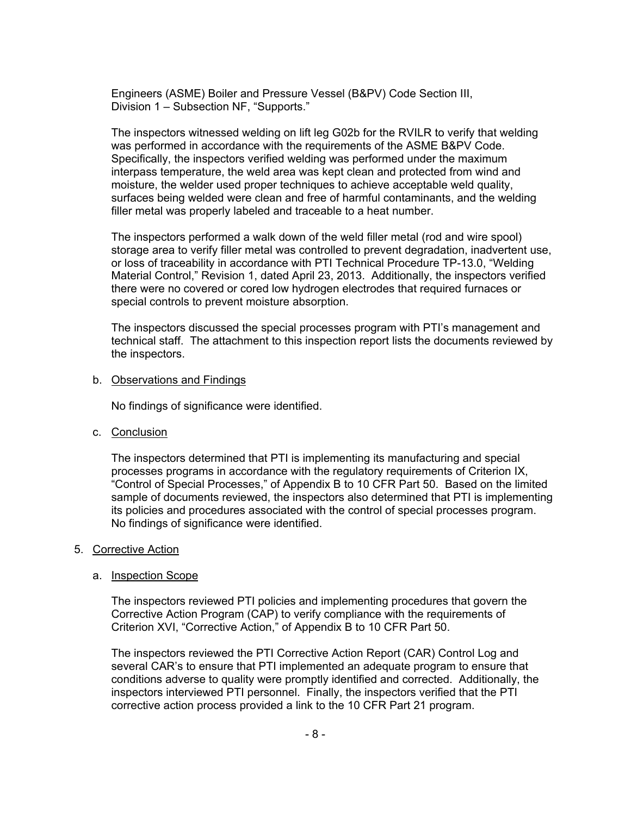Engineers (ASME) Boiler and Pressure Vessel (B&PV) Code Section III, Division 1 – Subsection NF, "Supports."

The inspectors witnessed welding on lift leg G02b for the RVILR to verify that welding was performed in accordance with the requirements of the ASME B&PV Code. Specifically, the inspectors verified welding was performed under the maximum interpass temperature, the weld area was kept clean and protected from wind and moisture, the welder used proper techniques to achieve acceptable weld quality, surfaces being welded were clean and free of harmful contaminants, and the welding filler metal was properly labeled and traceable to a heat number.

The inspectors performed a walk down of the weld filler metal (rod and wire spool) storage area to verify filler metal was controlled to prevent degradation, inadvertent use, or loss of traceability in accordance with PTI Technical Procedure TP-13.0, "Welding Material Control," Revision 1, dated April 23, 2013. Additionally, the inspectors verified there were no covered or cored low hydrogen electrodes that required furnaces or special controls to prevent moisture absorption.

The inspectors discussed the special processes program with PTI's management and technical staff. The attachment to this inspection report lists the documents reviewed by the inspectors.

#### b. Observations and Findings

No findings of significance were identified.

c. Conclusion

The inspectors determined that PTI is implementing its manufacturing and special processes programs in accordance with the regulatory requirements of Criterion IX, "Control of Special Processes," of Appendix B to 10 CFR Part 50. Based on the limited sample of documents reviewed, the inspectors also determined that PTI is implementing its policies and procedures associated with the control of special processes program. No findings of significance were identified.

#### 5. Corrective Action

#### a. Inspection Scope

The inspectors reviewed PTI policies and implementing procedures that govern the Corrective Action Program (CAP) to verify compliance with the requirements of Criterion XVI, "Corrective Action," of Appendix B to 10 CFR Part 50.

The inspectors reviewed the PTI Corrective Action Report (CAR) Control Log and several CAR's to ensure that PTI implemented an adequate program to ensure that conditions adverse to quality were promptly identified and corrected. Additionally, the inspectors interviewed PTI personnel. Finally, the inspectors verified that the PTI corrective action process provided a link to the 10 CFR Part 21 program.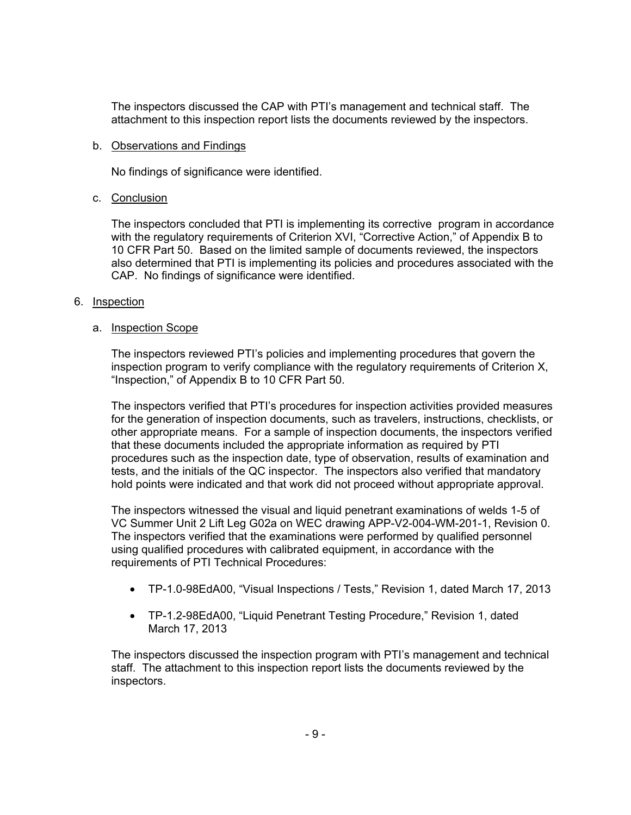The inspectors discussed the CAP with PTI's management and technical staff. The attachment to this inspection report lists the documents reviewed by the inspectors.

### b. Observations and Findings

No findings of significance were identified.

### c. Conclusion

The inspectors concluded that PTI is implementing its corrective program in accordance with the regulatory requirements of Criterion XVI, "Corrective Action," of Appendix B to 10 CFR Part 50. Based on the limited sample of documents reviewed, the inspectors also determined that PTI is implementing its policies and procedures associated with the CAP. No findings of significance were identified.

### 6. Inspection

### a. **Inspection Scope**

The inspectors reviewed PTI's policies and implementing procedures that govern the inspection program to verify compliance with the regulatory requirements of Criterion X, "Inspection," of Appendix B to 10 CFR Part 50.

The inspectors verified that PTI's procedures for inspection activities provided measures for the generation of inspection documents, such as travelers, instructions, checklists, or other appropriate means. For a sample of inspection documents, the inspectors verified that these documents included the appropriate information as required by PTI procedures such as the inspection date, type of observation, results of examination and tests, and the initials of the QC inspector. The inspectors also verified that mandatory hold points were indicated and that work did not proceed without appropriate approval.

The inspectors witnessed the visual and liquid penetrant examinations of welds 1-5 of VC Summer Unit 2 Lift Leg G02a on WEC drawing APP-V2-004-WM-201-1, Revision 0. The inspectors verified that the examinations were performed by qualified personnel using qualified procedures with calibrated equipment, in accordance with the requirements of PTI Technical Procedures:

- TP-1.0-98EdA00, "Visual Inspections / Tests," Revision 1, dated March 17, 2013
- TP-1.2-98EdA00, "Liquid Penetrant Testing Procedure," Revision 1, dated March 17, 2013

The inspectors discussed the inspection program with PTI's management and technical staff. The attachment to this inspection report lists the documents reviewed by the inspectors.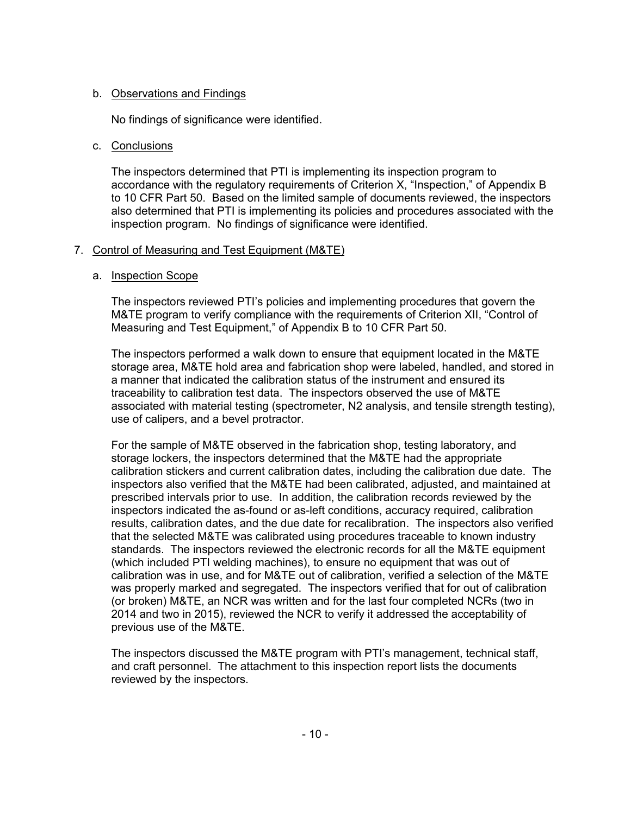# b. Observations and Findings

No findings of significance were identified.

# c. Conclusions

The inspectors determined that PTI is implementing its inspection program to accordance with the regulatory requirements of Criterion X, "Inspection," of Appendix B to 10 CFR Part 50. Based on the limited sample of documents reviewed, the inspectors also determined that PTI is implementing its policies and procedures associated with the inspection program. No findings of significance were identified.

# 7. Control of Measuring and Test Equipment (M&TE)

# a. Inspection Scope

The inspectors reviewed PTI's policies and implementing procedures that govern the M&TE program to verify compliance with the requirements of Criterion XII, "Control of Measuring and Test Equipment," of Appendix B to 10 CFR Part 50.

The inspectors performed a walk down to ensure that equipment located in the M&TE storage area, M&TE hold area and fabrication shop were labeled, handled, and stored in a manner that indicated the calibration status of the instrument and ensured its traceability to calibration test data. The inspectors observed the use of M&TE associated with material testing (spectrometer, N2 analysis, and tensile strength testing), use of calipers, and a bevel protractor.

For the sample of M&TE observed in the fabrication shop, testing laboratory, and storage lockers, the inspectors determined that the M&TE had the appropriate calibration stickers and current calibration dates, including the calibration due date. The inspectors also verified that the M&TE had been calibrated, adjusted, and maintained at prescribed intervals prior to use. In addition, the calibration records reviewed by the inspectors indicated the as-found or as-left conditions, accuracy required, calibration results, calibration dates, and the due date for recalibration. The inspectors also verified that the selected M&TE was calibrated using procedures traceable to known industry standards. The inspectors reviewed the electronic records for all the M&TE equipment (which included PTI welding machines), to ensure no equipment that was out of calibration was in use, and for M&TE out of calibration, verified a selection of the M&TE was properly marked and segregated. The inspectors verified that for out of calibration (or broken) M&TE, an NCR was written and for the last four completed NCRs (two in 2014 and two in 2015), reviewed the NCR to verify it addressed the acceptability of previous use of the M&TE.

The inspectors discussed the M&TE program with PTI's management, technical staff, and craft personnel. The attachment to this inspection report lists the documents reviewed by the inspectors.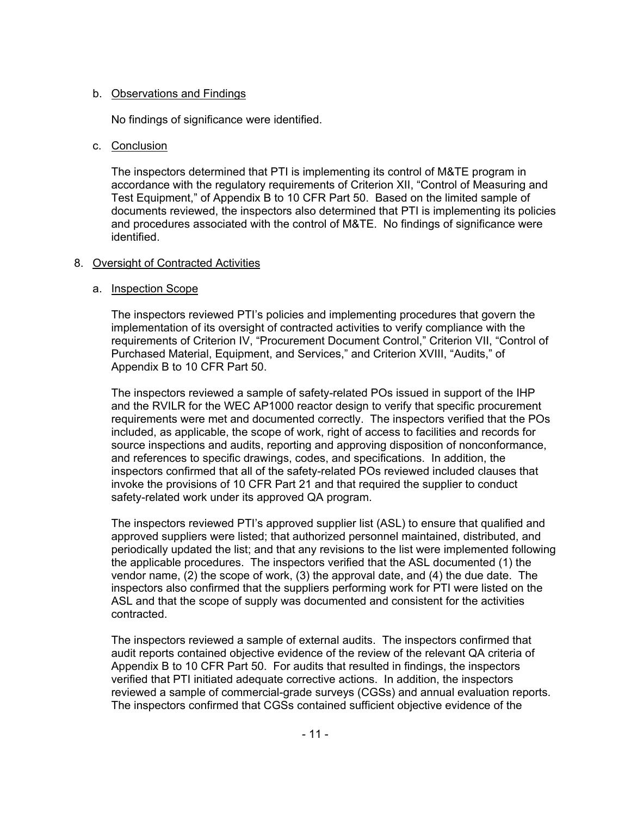# b. Observations and Findings

No findings of significance were identified.

# c. Conclusion

The inspectors determined that PTI is implementing its control of M&TE program in accordance with the regulatory requirements of Criterion XII, "Control of Measuring and Test Equipment," of Appendix B to 10 CFR Part 50. Based on the limited sample of documents reviewed, the inspectors also determined that PTI is implementing its policies and procedures associated with the control of M&TE. No findings of significance were identified.

# 8. Oversight of Contracted Activities

# a. Inspection Scope

The inspectors reviewed PTI's policies and implementing procedures that govern the implementation of its oversight of contracted activities to verify compliance with the requirements of Criterion IV, "Procurement Document Control," Criterion VII, "Control of Purchased Material, Equipment, and Services," and Criterion XVIII, "Audits," of Appendix B to 10 CFR Part 50.

The inspectors reviewed a sample of safety-related POs issued in support of the IHP and the RVILR for the WEC AP1000 reactor design to verify that specific procurement requirements were met and documented correctly. The inspectors verified that the POs included, as applicable, the scope of work, right of access to facilities and records for source inspections and audits, reporting and approving disposition of nonconformance, and references to specific drawings, codes, and specifications. In addition, the inspectors confirmed that all of the safety-related POs reviewed included clauses that invoke the provisions of 10 CFR Part 21 and that required the supplier to conduct safety-related work under its approved QA program.

The inspectors reviewed PTI's approved supplier list (ASL) to ensure that qualified and approved suppliers were listed; that authorized personnel maintained, distributed, and periodically updated the list; and that any revisions to the list were implemented following the applicable procedures. The inspectors verified that the ASL documented (1) the vendor name, (2) the scope of work, (3) the approval date, and (4) the due date. The inspectors also confirmed that the suppliers performing work for PTI were listed on the ASL and that the scope of supply was documented and consistent for the activities contracted.

The inspectors reviewed a sample of external audits. The inspectors confirmed that audit reports contained objective evidence of the review of the relevant QA criteria of Appendix B to 10 CFR Part 50. For audits that resulted in findings, the inspectors verified that PTI initiated adequate corrective actions. In addition, the inspectors reviewed a sample of commercial-grade surveys (CGSs) and annual evaluation reports. The inspectors confirmed that CGSs contained sufficient objective evidence of the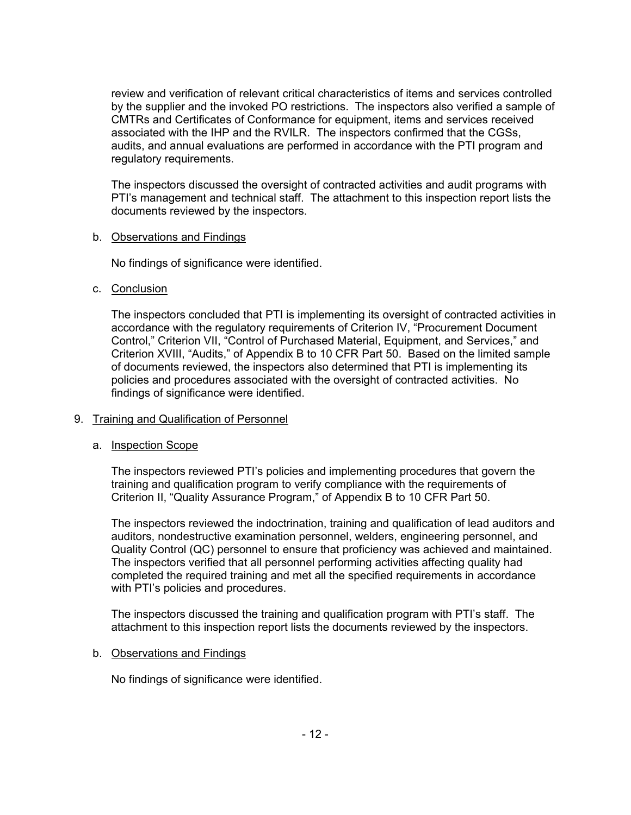review and verification of relevant critical characteristics of items and services controlled by the supplier and the invoked PO restrictions. The inspectors also verified a sample of CMTRs and Certificates of Conformance for equipment, items and services received associated with the IHP and the RVILR. The inspectors confirmed that the CGSs, audits, and annual evaluations are performed in accordance with the PTI program and regulatory requirements.

The inspectors discussed the oversight of contracted activities and audit programs with PTI's management and technical staff. The attachment to this inspection report lists the documents reviewed by the inspectors.

### b. Observations and Findings

No findings of significance were identified.

# c. Conclusion

The inspectors concluded that PTI is implementing its oversight of contracted activities in accordance with the regulatory requirements of Criterion IV, "Procurement Document Control," Criterion VII, "Control of Purchased Material, Equipment, and Services," and Criterion XVIII, "Audits," of Appendix B to 10 CFR Part 50. Based on the limited sample of documents reviewed, the inspectors also determined that PTI is implementing its policies and procedures associated with the oversight of contracted activities. No findings of significance were identified.

# 9. Training and Qualification of Personnel

# a. Inspection Scope

The inspectors reviewed PTI's policies and implementing procedures that govern the training and qualification program to verify compliance with the requirements of Criterion II, "Quality Assurance Program," of Appendix B to 10 CFR Part 50.

The inspectors reviewed the indoctrination, training and qualification of lead auditors and auditors, nondestructive examination personnel, welders, engineering personnel, and Quality Control (QC) personnel to ensure that proficiency was achieved and maintained. The inspectors verified that all personnel performing activities affecting quality had completed the required training and met all the specified requirements in accordance with PTI's policies and procedures.

The inspectors discussed the training and qualification program with PTI's staff. The attachment to this inspection report lists the documents reviewed by the inspectors.

# b. Observations and Findings

No findings of significance were identified.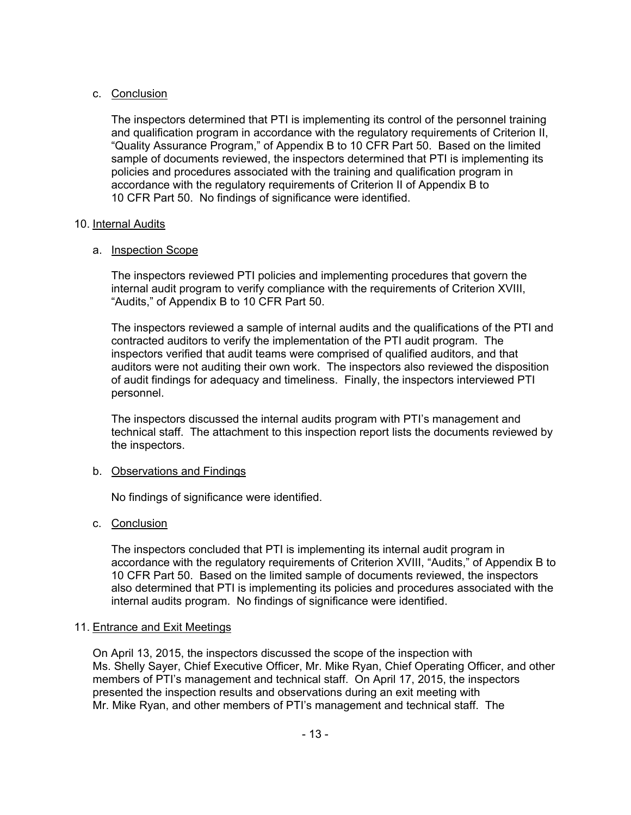# c. Conclusion

The inspectors determined that PTI is implementing its control of the personnel training and qualification program in accordance with the regulatory requirements of Criterion II, "Quality Assurance Program," of Appendix B to 10 CFR Part 50. Based on the limited sample of documents reviewed, the inspectors determined that PTI is implementing its policies and procedures associated with the training and qualification program in accordance with the regulatory requirements of Criterion II of Appendix B to 10 CFR Part 50. No findings of significance were identified.

# 10. Internal Audits

# a. Inspection Scope

The inspectors reviewed PTI policies and implementing procedures that govern the internal audit program to verify compliance with the requirements of Criterion XVIII, "Audits," of Appendix B to 10 CFR Part 50.

The inspectors reviewed a sample of internal audits and the qualifications of the PTI and contracted auditors to verify the implementation of the PTI audit program. The inspectors verified that audit teams were comprised of qualified auditors, and that auditors were not auditing their own work. The inspectors also reviewed the disposition of audit findings for adequacy and timeliness. Finally, the inspectors interviewed PTI personnel.

The inspectors discussed the internal audits program with PTI's management and technical staff. The attachment to this inspection report lists the documents reviewed by the inspectors.

# b. Observations and Findings

No findings of significance were identified.

# c. Conclusion

The inspectors concluded that PTI is implementing its internal audit program in accordance with the regulatory requirements of Criterion XVIII, "Audits," of Appendix B to 10 CFR Part 50. Based on the limited sample of documents reviewed, the inspectors also determined that PTI is implementing its policies and procedures associated with the internal audits program. No findings of significance were identified.

# 11. Entrance and Exit Meetings

On April 13, 2015, the inspectors discussed the scope of the inspection with Ms. Shelly Sayer, Chief Executive Officer, Mr. Mike Ryan, Chief Operating Officer, and other members of PTI's management and technical staff. On April 17, 2015, the inspectors presented the inspection results and observations during an exit meeting with Mr. Mike Ryan, and other members of PTI's management and technical staff. The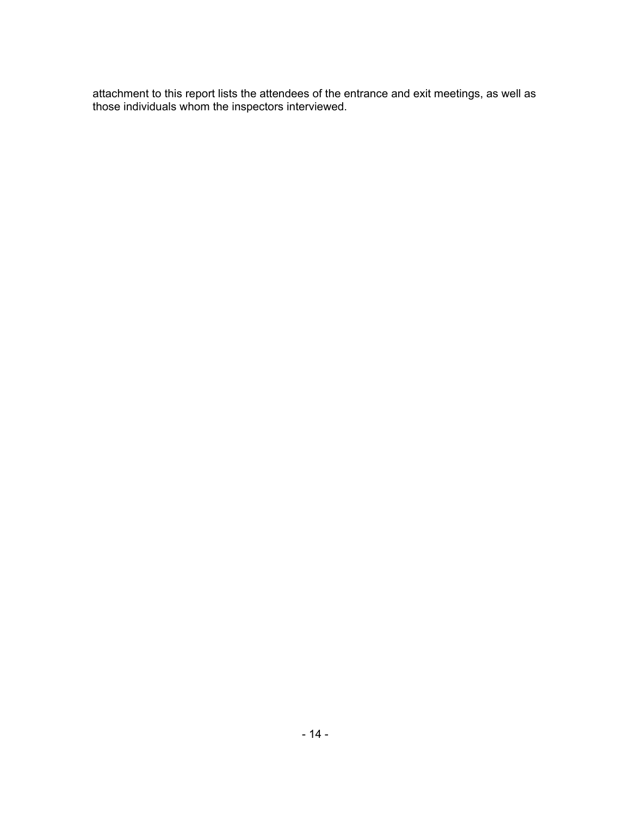attachment to this report lists the attendees of the entrance and exit meetings, as well as those individuals whom the inspectors interviewed.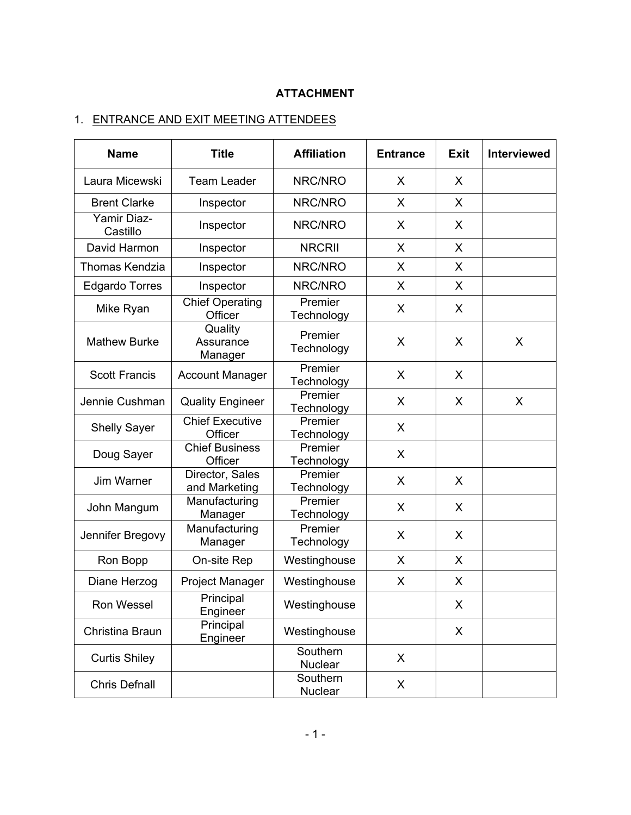# **ATTACHMENT**

# 1. ENTRANCE AND EXIT MEETING ATTENDEES

| <b>Name</b>             | <b>Title</b>                      | <b>Affiliation</b>         | <b>Entrance</b> | <b>Exit</b> | <b>Interviewed</b> |
|-------------------------|-----------------------------------|----------------------------|-----------------|-------------|--------------------|
| Laura Micewski          | <b>Team Leader</b>                | NRC/NRO                    | X               | X           |                    |
| <b>Brent Clarke</b>     | Inspector                         | NRC/NRO                    | X               | X           |                    |
| Yamir Diaz-<br>Castillo | Inspector                         | NRC/NRO                    | X               | X           |                    |
| David Harmon            | Inspector                         | <b>NRCRII</b>              | X               | X           |                    |
| Thomas Kendzia          | Inspector                         | NRC/NRO                    | X               | X           |                    |
| <b>Edgardo Torres</b>   | Inspector                         | NRC/NRO                    | X               | X           |                    |
| Mike Ryan               | <b>Chief Operating</b><br>Officer | Premier<br>Technology      | X               | X           |                    |
| <b>Mathew Burke</b>     | Quality<br>Assurance<br>Manager   | Premier<br>Technology      | X               | X           | X                  |
| <b>Scott Francis</b>    | <b>Account Manager</b>            | Premier<br>Technology      | X               | X           |                    |
| Jennie Cushman          | <b>Quality Engineer</b>           | Premier<br>Technology      | X               | X           | X                  |
| <b>Shelly Sayer</b>     | <b>Chief Executive</b><br>Officer | Premier<br>Technology      | X               |             |                    |
| Doug Sayer              | <b>Chief Business</b><br>Officer  | Premier<br>Technology      | X               |             |                    |
| Jim Warner              | Director, Sales<br>and Marketing  | Premier<br>Technology      | X               | X           |                    |
| John Mangum             | Manufacturing<br>Manager          | Premier<br>Technology      | X               | X           |                    |
| Jennifer Bregovy        | Manufacturing<br>Manager          | Premier<br>Technology      | X               | X           |                    |
| Ron Bopp                | On-site Rep                       | Westinghouse               | X               | X           |                    |
| Diane Herzog            | Project Manager                   | Westinghouse               | X               | X           |                    |
| Ron Wessel              | Principal<br>Engineer             | Westinghouse               |                 | X           |                    |
| Christina Braun         | Principal<br>Engineer             | Westinghouse               |                 | X           |                    |
| <b>Curtis Shiley</b>    |                                   | Southern<br><b>Nuclear</b> | X               |             |                    |
| <b>Chris Defnall</b>    |                                   | Southern<br><b>Nuclear</b> | X               |             |                    |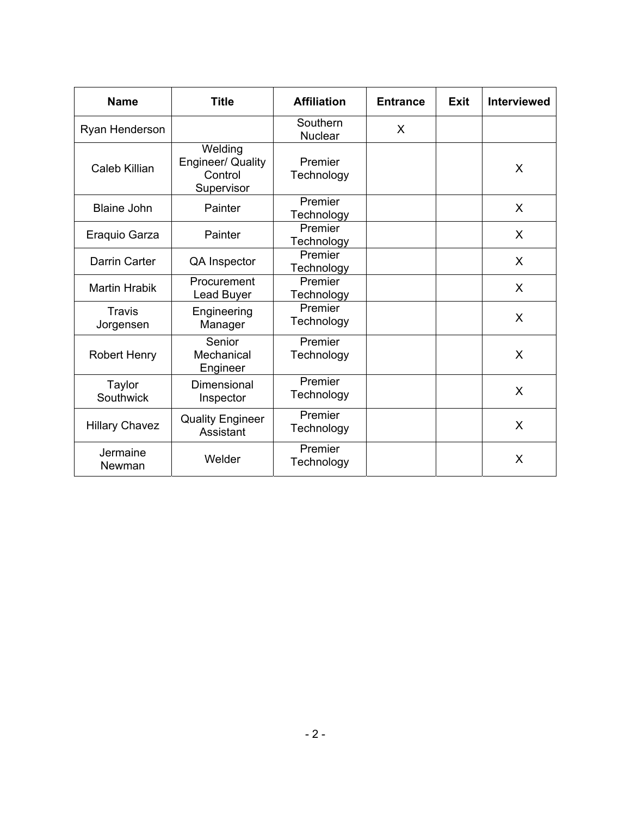| <b>Name</b>           | <b>Title</b>                                                 | <b>Affiliation</b>         | <b>Entrance</b> | <b>Exit</b> | <b>Interviewed</b> |
|-----------------------|--------------------------------------------------------------|----------------------------|-----------------|-------------|--------------------|
| Ryan Henderson        |                                                              | Southern<br><b>Nuclear</b> | $\sf X$         |             |                    |
| Caleb Killian         | Welding<br><b>Engineer/ Quality</b><br>Control<br>Supervisor | Premier<br>Technology      |                 |             | X                  |
| <b>Blaine John</b>    | Painter                                                      | Premier<br>Technology      |                 |             | $\mathsf{X}$       |
| Eraquio Garza         | Painter                                                      | Premier<br>Technology      |                 |             | X                  |
| Darrin Carter         | QA Inspector                                                 | Premier<br>Technology      |                 |             | $\mathsf{X}$       |
| <b>Martin Hrabik</b>  | Procurement<br>Lead Buyer                                    | Premier<br>Technology      |                 |             | $\sf X$            |
| Travis<br>Jorgensen   | Engineering<br>Manager                                       | Premier<br>Technology      |                 |             | X                  |
| <b>Robert Henry</b>   | Senior<br>Mechanical<br>Engineer                             | Premier<br>Technology      |                 |             | X                  |
| Taylor<br>Southwick   | Dimensional<br>Inspector                                     | Premier<br>Technology      |                 |             | X                  |
| <b>Hillary Chavez</b> | <b>Quality Engineer</b><br>Assistant                         | Premier<br>Technology      |                 |             | X                  |
| Jermaine<br>Newman    | Welder                                                       | Premier<br>Technology      |                 |             | X                  |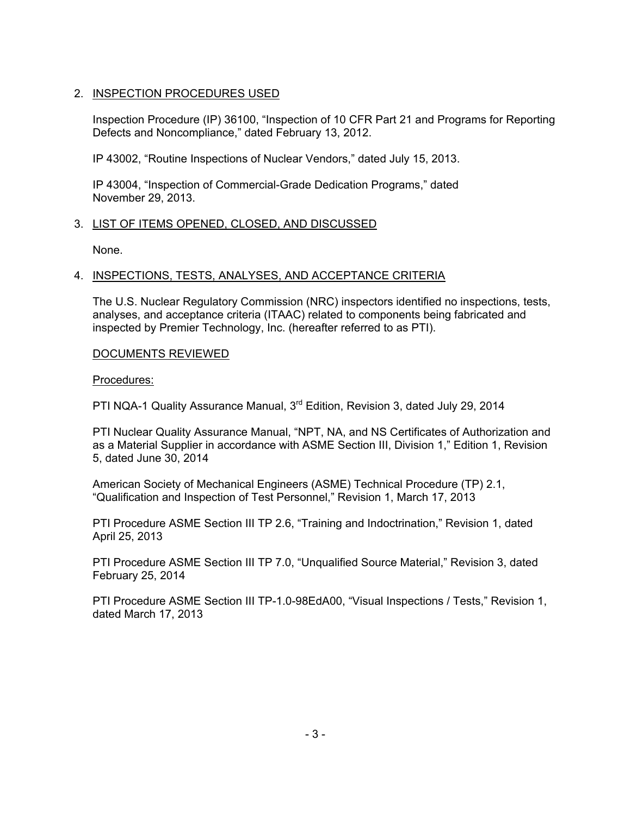# 2. INSPECTION PROCEDURES USED

Inspection Procedure (IP) 36100, "Inspection of 10 CFR Part 21 and Programs for Reporting Defects and Noncompliance," dated February 13, 2012.

IP 43002, "Routine Inspections of Nuclear Vendors," dated July 15, 2013.

IP 43004, "Inspection of Commercial-Grade Dedication Programs," dated November 29, 2013.

# 3. LIST OF ITEMS OPENED, CLOSED, AND DISCUSSED

None.

# 4. INSPECTIONS, TESTS, ANALYSES, AND ACCEPTANCE CRITERIA

The U.S. Nuclear Regulatory Commission (NRC) inspectors identified no inspections, tests, analyses, and acceptance criteria (ITAAC) related to components being fabricated and inspected by Premier Technology, Inc. (hereafter referred to as PTI).

# DOCUMENTS REVIEWED

Procedures:

PTI NQA-1 Quality Assurance Manual, 3<sup>rd</sup> Edition, Revision 3, dated July 29, 2014

PTI Nuclear Quality Assurance Manual, "NPT, NA, and NS Certificates of Authorization and as a Material Supplier in accordance with ASME Section III, Division 1," Edition 1, Revision 5, dated June 30, 2014

American Society of Mechanical Engineers (ASME) Technical Procedure (TP) 2.1, "Qualification and Inspection of Test Personnel," Revision 1, March 17, 2013

PTI Procedure ASME Section III TP 2.6, "Training and Indoctrination," Revision 1, dated April 25, 2013

PTI Procedure ASME Section III TP 7.0, "Unqualified Source Material," Revision 3, dated February 25, 2014

PTI Procedure ASME Section III TP-1.0-98EdA00, "Visual Inspections / Tests," Revision 1, dated March 17, 2013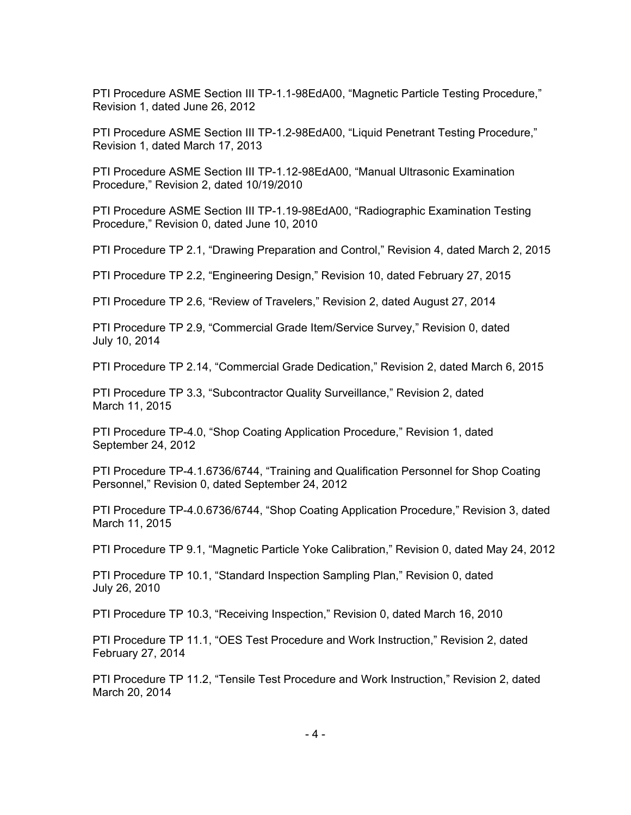PTI Procedure ASME Section III TP-1.1-98EdA00, "Magnetic Particle Testing Procedure," Revision 1, dated June 26, 2012

PTI Procedure ASME Section III TP-1.2-98EdA00, "Liquid Penetrant Testing Procedure," Revision 1, dated March 17, 2013

PTI Procedure ASME Section III TP-1.12-98EdA00, "Manual Ultrasonic Examination Procedure," Revision 2, dated 10/19/2010

PTI Procedure ASME Section III TP-1.19-98EdA00, "Radiographic Examination Testing Procedure," Revision 0, dated June 10, 2010

PTI Procedure TP 2.1, "Drawing Preparation and Control," Revision 4, dated March 2, 2015

PTI Procedure TP 2.2, "Engineering Design," Revision 10, dated February 27, 2015

PTI Procedure TP 2.6, "Review of Travelers," Revision 2, dated August 27, 2014

PTI Procedure TP 2.9, "Commercial Grade Item/Service Survey," Revision 0, dated July 10, 2014

PTI Procedure TP 2.14, "Commercial Grade Dedication," Revision 2, dated March 6, 2015

PTI Procedure TP 3.3, "Subcontractor Quality Surveillance," Revision 2, dated March 11, 2015

PTI Procedure TP-4.0, "Shop Coating Application Procedure," Revision 1, dated September 24, 2012

PTI Procedure TP-4.1.6736/6744, "Training and Qualification Personnel for Shop Coating Personnel," Revision 0, dated September 24, 2012

PTI Procedure TP-4.0.6736/6744, "Shop Coating Application Procedure," Revision 3, dated March 11, 2015

PTI Procedure TP 9.1, "Magnetic Particle Yoke Calibration," Revision 0, dated May 24, 2012

PTI Procedure TP 10.1, "Standard Inspection Sampling Plan," Revision 0, dated July 26, 2010

PTI Procedure TP 10.3, "Receiving Inspection," Revision 0, dated March 16, 2010

PTI Procedure TP 11.1, "OES Test Procedure and Work Instruction," Revision 2, dated February 27, 2014

PTI Procedure TP 11.2, "Tensile Test Procedure and Work Instruction," Revision 2, dated March 20, 2014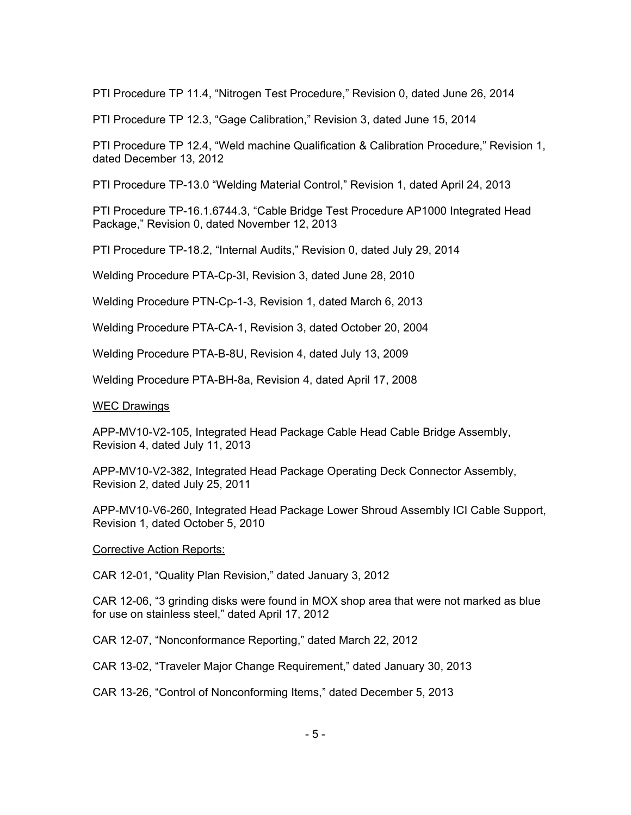PTI Procedure TP 11.4, "Nitrogen Test Procedure," Revision 0, dated June 26, 2014

PTI Procedure TP 12.3, "Gage Calibration," Revision 3, dated June 15, 2014

PTI Procedure TP 12.4, "Weld machine Qualification & Calibration Procedure," Revision 1, dated December 13, 2012

PTI Procedure TP-13.0 "Welding Material Control," Revision 1, dated April 24, 2013

PTI Procedure TP-16.1.6744.3, "Cable Bridge Test Procedure AP1000 Integrated Head Package," Revision 0, dated November 12, 2013

PTI Procedure TP-18.2, "Internal Audits," Revision 0, dated July 29, 2014

Welding Procedure PTA-Cp-3I, Revision 3, dated June 28, 2010

Welding Procedure PTN-Cp-1-3, Revision 1, dated March 6, 2013

Welding Procedure PTA-CA-1, Revision 3, dated October 20, 2004

Welding Procedure PTA-B-8U, Revision 4, dated July 13, 2009

Welding Procedure PTA-BH-8a, Revision 4, dated April 17, 2008

#### WEC Drawings

APP-MV10-V2-105, Integrated Head Package Cable Head Cable Bridge Assembly, Revision 4, dated July 11, 2013

APP-MV10-V2-382, Integrated Head Package Operating Deck Connector Assembly, Revision 2, dated July 25, 2011

APP-MV10-V6-260, Integrated Head Package Lower Shroud Assembly ICI Cable Support, Revision 1, dated October 5, 2010

#### Corrective Action Reports:

CAR 12-01, "Quality Plan Revision," dated January 3, 2012

CAR 12-06, "3 grinding disks were found in MOX shop area that were not marked as blue for use on stainless steel," dated April 17, 2012

CAR 12-07, "Nonconformance Reporting," dated March 22, 2012

CAR 13-02, "Traveler Major Change Requirement," dated January 30, 2013

CAR 13-26, "Control of Nonconforming Items," dated December 5, 2013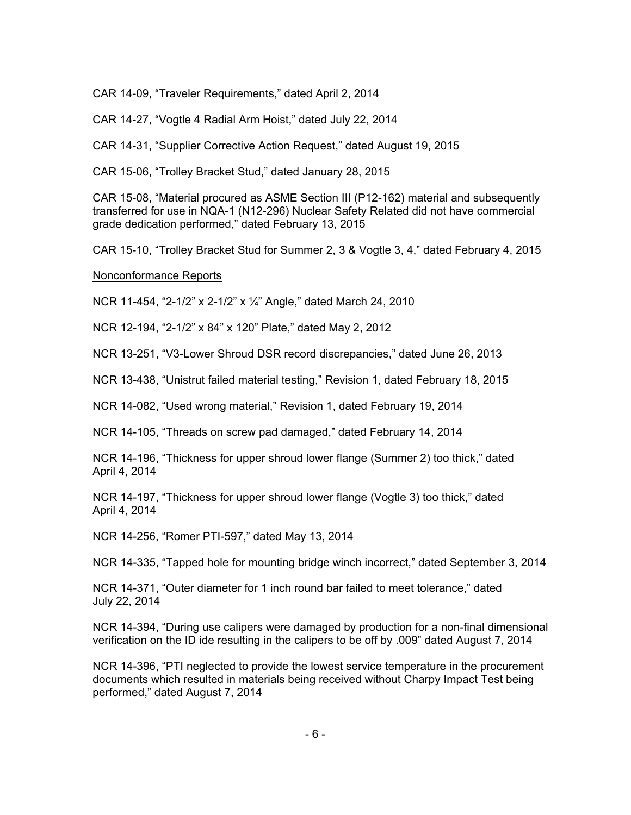CAR 14-09, "Traveler Requirements," dated April 2, 2014

CAR 14-27, "Vogtle 4 Radial Arm Hoist," dated July 22, 2014

CAR 14-31, "Supplier Corrective Action Request," dated August 19, 2015

CAR 15-06, "Trolley Bracket Stud," dated January 28, 2015

CAR 15-08, "Material procured as ASME Section III (P12-162) material and subsequently transferred for use in NQA-1 (N12-296) Nuclear Safety Related did not have commercial grade dedication performed," dated February 13, 2015

CAR 15-10, "Trolley Bracket Stud for Summer 2, 3 & Vogtle 3, 4," dated February 4, 2015

### Nonconformance Reports

NCR 11-454, "2-1/2" x 2-1/2" x ¼" Angle," dated March 24, 2010

NCR 12-194, "2-1/2" x 84" x 120" Plate," dated May 2, 2012

NCR 13-251, "V3-Lower Shroud DSR record discrepancies," dated June 26, 2013

NCR 13-438, "Unistrut failed material testing," Revision 1, dated February 18, 2015

NCR 14-082, "Used wrong material," Revision 1, dated February 19, 2014

NCR 14-105, "Threads on screw pad damaged," dated February 14, 2014

NCR 14-196, "Thickness for upper shroud lower flange (Summer 2) too thick," dated April 4, 2014

NCR 14-197, "Thickness for upper shroud lower flange (Vogtle 3) too thick," dated April 4, 2014

NCR 14-256, "Romer PTI-597," dated May 13, 2014

NCR 14-335, "Tapped hole for mounting bridge winch incorrect," dated September 3, 2014

NCR 14-371, "Outer diameter for 1 inch round bar failed to meet tolerance," dated July 22, 2014

NCR 14-394, "During use calipers were damaged by production for a non-final dimensional verification on the ID ide resulting in the calipers to be off by .009" dated August 7, 2014

NCR 14-396, "PTI neglected to provide the lowest service temperature in the procurement documents which resulted in materials being received without Charpy Impact Test being performed," dated August 7, 2014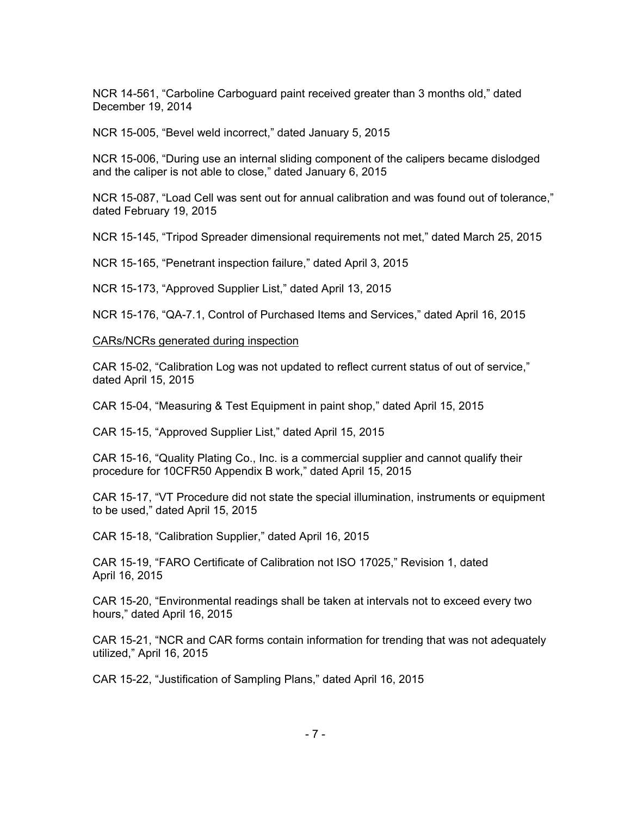NCR 14-561, "Carboline Carboguard paint received greater than 3 months old," dated December 19, 2014

NCR 15-005, "Bevel weld incorrect," dated January 5, 2015

NCR 15-006, "During use an internal sliding component of the calipers became dislodged and the caliper is not able to close," dated January 6, 2015

NCR 15-087, "Load Cell was sent out for annual calibration and was found out of tolerance," dated February 19, 2015

NCR 15-145, "Tripod Spreader dimensional requirements not met," dated March 25, 2015

NCR 15-165, "Penetrant inspection failure," dated April 3, 2015

NCR 15-173, "Approved Supplier List," dated April 13, 2015

NCR 15-176, "QA-7.1, Control of Purchased Items and Services," dated April 16, 2015

#### CARs/NCRs generated during inspection

CAR 15-02, "Calibration Log was not updated to reflect current status of out of service," dated April 15, 2015

CAR 15-04, "Measuring & Test Equipment in paint shop," dated April 15, 2015

CAR 15-15, "Approved Supplier List," dated April 15, 2015

CAR 15-16, "Quality Plating Co., Inc. is a commercial supplier and cannot qualify their procedure for 10CFR50 Appendix B work," dated April 15, 2015

CAR 15-17, "VT Procedure did not state the special illumination, instruments or equipment to be used," dated April 15, 2015

CAR 15-18, "Calibration Supplier," dated April 16, 2015

CAR 15-19, "FARO Certificate of Calibration not ISO 17025," Revision 1, dated April 16, 2015

CAR 15-20, "Environmental readings shall be taken at intervals not to exceed every two hours," dated April 16, 2015

CAR 15-21, "NCR and CAR forms contain information for trending that was not adequately utilized," April 16, 2015

CAR 15-22, "Justification of Sampling Plans," dated April 16, 2015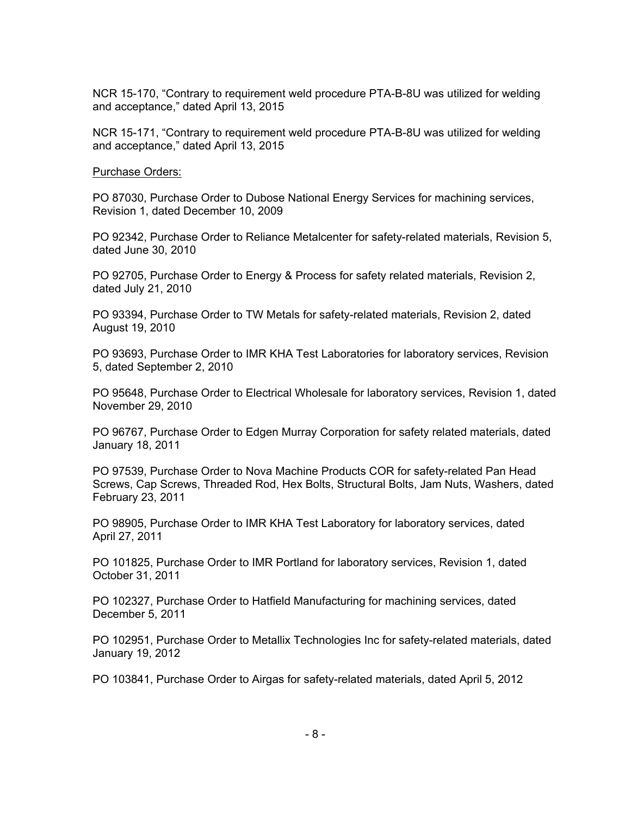NCR 15-170, "Contrary to requirement weld procedure PTA-B-8U was utilized for welding and acceptance," dated April 13, 2015

NCR 15-171, "Contrary to requirement weld procedure PTA-B-8U was utilized for welding and acceptance," dated April 13, 2015

Purchase Orders:

PO 87030, Purchase Order to Dubose National Energy Services for machining services, Revision 1, dated December 10, 2009

PO 92342, Purchase Order to Reliance Metalcenter for safety-related materials, Revision 5, dated June 30, 2010

PO 92705, Purchase Order to Energy & Process for safety related materials, Revision 2, dated July 21, 2010

PO 93394, Purchase Order to TW Metals for safety-related materials, Revision 2, dated August 19, 2010

PO 93693, Purchase Order to IMR KHA Test Laboratories for laboratory services, Revision 5, dated September 2, 2010

PO 95648, Purchase Order to Electrical Wholesale for laboratory services, Revision 1, dated November 29, 2010

PO 96767, Purchase Order to Edgen Murray Corporation for safety related materials, dated January 18, 2011

PO 97539, Purchase Order to Nova Machine Products COR for safety-related Pan Head Screws, Cap Screws, Threaded Rod, Hex Bolts, Structural Bolts, Jam Nuts, Washers, dated February 23, 2011

PO 98905, Purchase Order to IMR KHA Test Laboratory for laboratory services, dated April 27, 2011

PO 101825, Purchase Order to IMR Portland for laboratory services, Revision 1, dated October 31, 2011

PO 102327, Purchase Order to Hatfield Manufacturing for machining services, dated December 5, 2011

PO 102951, Purchase Order to Metallix Technologies Inc for safety-related materials, dated January 19, 2012

PO 103841, Purchase Order to Airgas for safety-related materials, dated April 5, 2012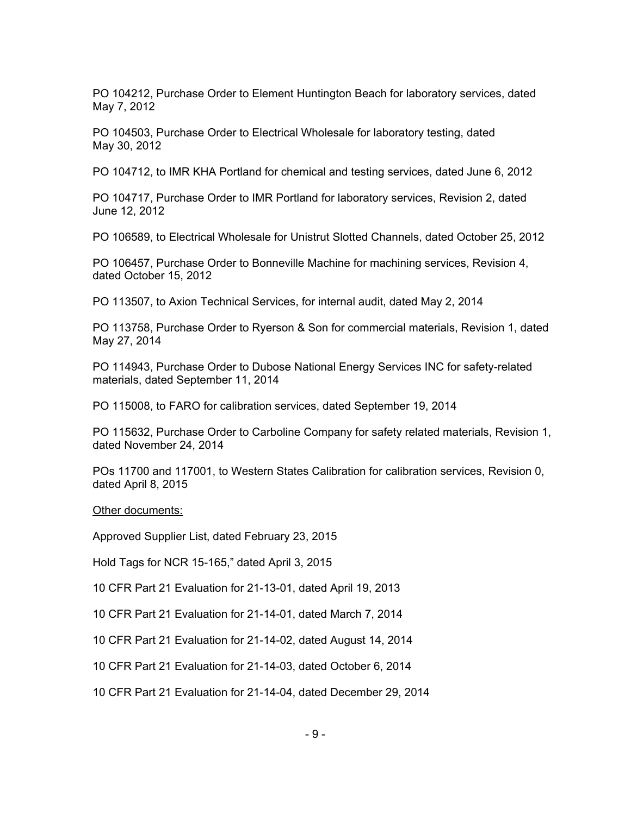PO 104212, Purchase Order to Element Huntington Beach for laboratory services, dated May 7, 2012

PO 104503, Purchase Order to Electrical Wholesale for laboratory testing, dated May 30, 2012

PO 104712, to IMR KHA Portland for chemical and testing services, dated June 6, 2012

PO 104717, Purchase Order to IMR Portland for laboratory services, Revision 2, dated June 12, 2012

PO 106589, to Electrical Wholesale for Unistrut Slotted Channels, dated October 25, 2012

PO 106457, Purchase Order to Bonneville Machine for machining services, Revision 4, dated October 15, 2012

PO 113507, to Axion Technical Services, for internal audit, dated May 2, 2014

PO 113758, Purchase Order to Ryerson & Son for commercial materials, Revision 1, dated May 27, 2014

PO 114943, Purchase Order to Dubose National Energy Services INC for safety-related materials, dated September 11, 2014

PO 115008, to FARO for calibration services, dated September 19, 2014

PO 115632, Purchase Order to Carboline Company for safety related materials, Revision 1, dated November 24, 2014

POs 11700 and 117001, to Western States Calibration for calibration services, Revision 0, dated April 8, 2015

#### Other documents:

Approved Supplier List, dated February 23, 2015

Hold Tags for NCR 15-165," dated April 3, 2015

10 CFR Part 21 Evaluation for 21-13-01, dated April 19, 2013

10 CFR Part 21 Evaluation for 21-14-01, dated March 7, 2014

10 CFR Part 21 Evaluation for 21-14-02, dated August 14, 2014

10 CFR Part 21 Evaluation for 21-14-03, dated October 6, 2014

10 CFR Part 21 Evaluation for 21-14-04, dated December 29, 2014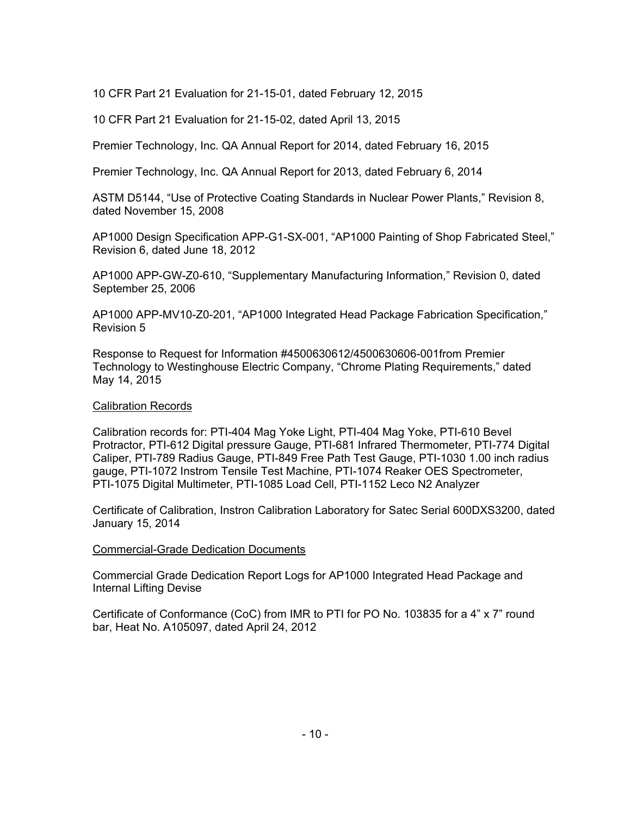10 CFR Part 21 Evaluation for 21-15-01, dated February 12, 2015

10 CFR Part 21 Evaluation for 21-15-02, dated April 13, 2015

Premier Technology, Inc. QA Annual Report for 2014, dated February 16, 2015

Premier Technology, Inc. QA Annual Report for 2013, dated February 6, 2014

ASTM D5144, "Use of Protective Coating Standards in Nuclear Power Plants," Revision 8, dated November 15, 2008

AP1000 Design Specification APP-G1-SX-001, "AP1000 Painting of Shop Fabricated Steel," Revision 6, dated June 18, 2012

AP1000 APP-GW-Z0-610, "Supplementary Manufacturing Information," Revision 0, dated September 25, 2006

AP1000 APP-MV10-Z0-201, "AP1000 Integrated Head Package Fabrication Specification," Revision 5

Response to Request for Information #4500630612/4500630606-001from Premier Technology to Westinghouse Electric Company, "Chrome Plating Requirements," dated May 14, 2015

### Calibration Records

Calibration records for: PTI-404 Mag Yoke Light, PTI-404 Mag Yoke, PTI-610 Bevel Protractor, PTI-612 Digital pressure Gauge, PTI-681 Infrared Thermometer, PTI-774 Digital Caliper, PTI-789 Radius Gauge, PTI-849 Free Path Test Gauge, PTI-1030 1.00 inch radius gauge, PTI-1072 Instrom Tensile Test Machine, PTI-1074 Reaker OES Spectrometer, PTI-1075 Digital Multimeter, PTI-1085 Load Cell, PTI-1152 Leco N2 Analyzer

Certificate of Calibration, Instron Calibration Laboratory for Satec Serial 600DXS3200, dated January 15, 2014

#### Commercial-Grade Dedication Documents

Commercial Grade Dedication Report Logs for AP1000 Integrated Head Package and Internal Lifting Devise

Certificate of Conformance (CoC) from IMR to PTI for PO No. 103835 for a 4" x 7" round bar, Heat No. A105097, dated April 24, 2012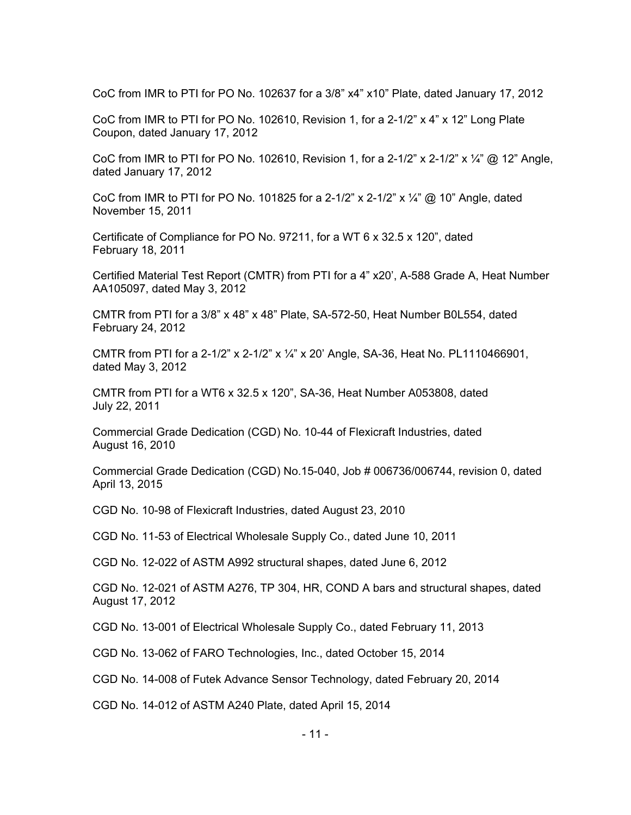CoC from IMR to PTI for PO No. 102637 for a 3/8" x4" x10" Plate, dated January 17, 2012

CoC from IMR to PTI for PO No. 102610, Revision 1, for a  $2-1/2$ " x  $4$ " x 12" Long Plate Coupon, dated January 17, 2012

CoC from IMR to PTI for PO No. 102610, Revision 1, for a 2-1/2" x 2-1/2" x  $\frac{1}{4}$ " @ 12" Angle, dated January 17, 2012

CoC from IMR to PTI for PO No. 101825 for a 2-1/2" x 2-1/2" x  $\frac{1}{4}$ " @ 10" Angle, dated November 15, 2011

Certificate of Compliance for PO No. 97211, for a WT 6 x 32.5 x 120", dated February 18, 2011

Certified Material Test Report (CMTR) from PTI for a 4" x20', A-588 Grade A, Heat Number AA105097, dated May 3, 2012

CMTR from PTI for a  $3/8$ " x 48" x 48" Plate, SA-572-50, Heat Number B0L554, dated February 24, 2012

CMTR from PTI for a 2-1/2" x 2-1/2" x  $\frac{1}{4}$ " x 20' Angle, SA-36, Heat No. PL1110466901, dated May 3, 2012

CMTR from PTI for a WT6 x 32.5 x 120", SA-36, Heat Number A053808, dated July 22, 2011

Commercial Grade Dedication (CGD) No. 10-44 of Flexicraft Industries, dated August 16, 2010

Commercial Grade Dedication (CGD) No.15-040, Job # 006736/006744, revision 0, dated April 13, 2015

CGD No. 10-98 of Flexicraft Industries, dated August 23, 2010

CGD No. 11-53 of Electrical Wholesale Supply Co., dated June 10, 2011

CGD No. 12-022 of ASTM A992 structural shapes, dated June 6, 2012

CGD No. 12-021 of ASTM A276, TP 304, HR, COND A bars and structural shapes, dated August 17, 2012

CGD No. 13-001 of Electrical Wholesale Supply Co., dated February 11, 2013

CGD No. 13-062 of FARO Technologies, Inc., dated October 15, 2014

CGD No. 14-008 of Futek Advance Sensor Technology, dated February 20, 2014

CGD No. 14-012 of ASTM A240 Plate, dated April 15, 2014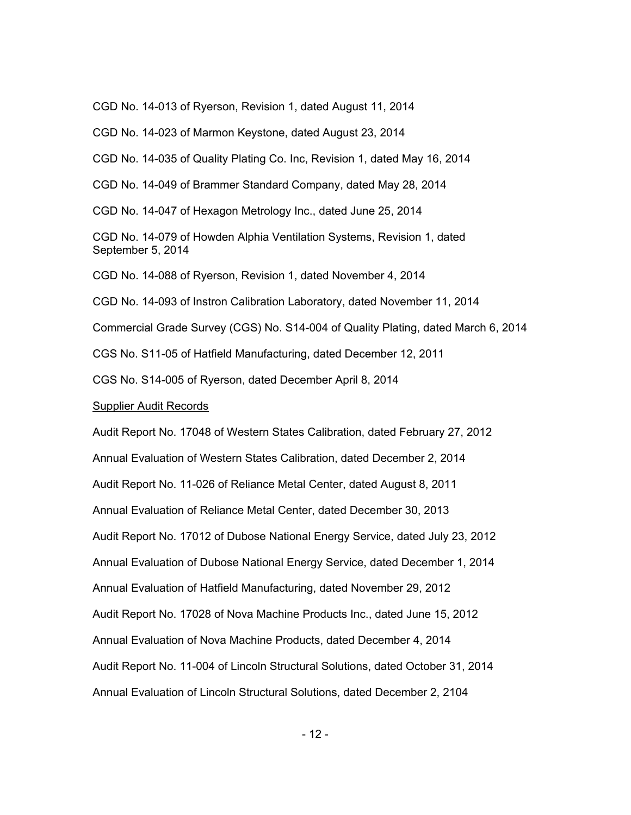CGD No. 14-013 of Ryerson, Revision 1, dated August 11, 2014

CGD No. 14-023 of Marmon Keystone, dated August 23, 2014

CGD No. 14-035 of Quality Plating Co. Inc, Revision 1, dated May 16, 2014

CGD No. 14-049 of Brammer Standard Company, dated May 28, 2014

CGD No. 14-047 of Hexagon Metrology Inc., dated June 25, 2014

CGD No. 14-079 of Howden Alphia Ventilation Systems, Revision 1, dated September 5, 2014

CGD No. 14-088 of Ryerson, Revision 1, dated November 4, 2014

CGD No. 14-093 of Instron Calibration Laboratory, dated November 11, 2014

Commercial Grade Survey (CGS) No. S14-004 of Quality Plating, dated March 6, 2014

CGS No. S11-05 of Hatfield Manufacturing, dated December 12, 2011

CGS No. S14-005 of Ryerson, dated December April 8, 2014

Supplier Audit Records

Audit Report No. 17048 of Western States Calibration, dated February 27, 2012 Annual Evaluation of Western States Calibration, dated December 2, 2014 Audit Report No. 11-026 of Reliance Metal Center, dated August 8, 2011 Annual Evaluation of Reliance Metal Center, dated December 30, 2013 Audit Report No. 17012 of Dubose National Energy Service, dated July 23, 2012 Annual Evaluation of Dubose National Energy Service, dated December 1, 2014 Annual Evaluation of Hatfield Manufacturing, dated November 29, 2012 Audit Report No. 17028 of Nova Machine Products Inc., dated June 15, 2012 Annual Evaluation of Nova Machine Products, dated December 4, 2014 Audit Report No. 11-004 of Lincoln Structural Solutions, dated October 31, 2014 Annual Evaluation of Lincoln Structural Solutions, dated December 2, 2104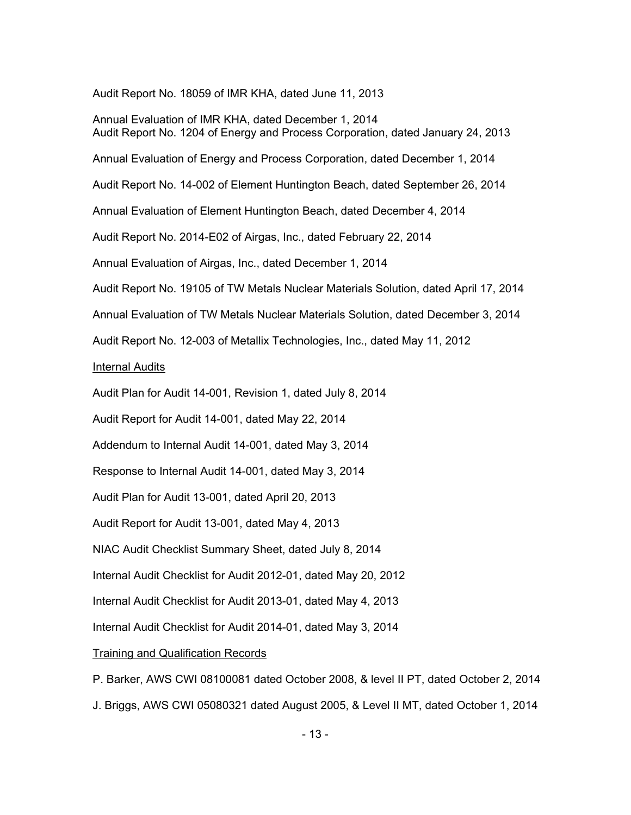Audit Report No. 18059 of IMR KHA, dated June 11, 2013

Annual Evaluation of IMR KHA, dated December 1, 2014 Audit Report No. 1204 of Energy and Process Corporation, dated January 24, 2013 Annual Evaluation of Energy and Process Corporation, dated December 1, 2014 Audit Report No. 14-002 of Element Huntington Beach, dated September 26, 2014 Annual Evaluation of Element Huntington Beach, dated December 4, 2014 Audit Report No. 2014-E02 of Airgas, Inc., dated February 22, 2014 Annual Evaluation of Airgas, Inc., dated December 1, 2014 Audit Report No. 19105 of TW Metals Nuclear Materials Solution, dated April 17, 2014 Annual Evaluation of TW Metals Nuclear Materials Solution, dated December 3, 2014 Audit Report No. 12-003 of Metallix Technologies, Inc., dated May 11, 2012 Internal Audits Audit Plan for Audit 14-001, Revision 1, dated July 8, 2014 Audit Report for Audit 14-001, dated May 22, 2014 Addendum to Internal Audit 14-001, dated May 3, 2014 Response to Internal Audit 14-001, dated May 3, 2014 Audit Plan for Audit 13-001, dated April 20, 2013 Audit Report for Audit 13-001, dated May 4, 2013 NIAC Audit Checklist Summary Sheet, dated July 8, 2014 Internal Audit Checklist for Audit 2012-01, dated May 20, 2012 Internal Audit Checklist for Audit 2013-01, dated May 4, 2013 Internal Audit Checklist for Audit 2014-01, dated May 3, 2014

Training and Qualification Records

P. Barker, AWS CWI 08100081 dated October 2008, & level II PT, dated October 2, 2014

J. Briggs, AWS CWI 05080321 dated August 2005, & Level II MT, dated October 1, 2014